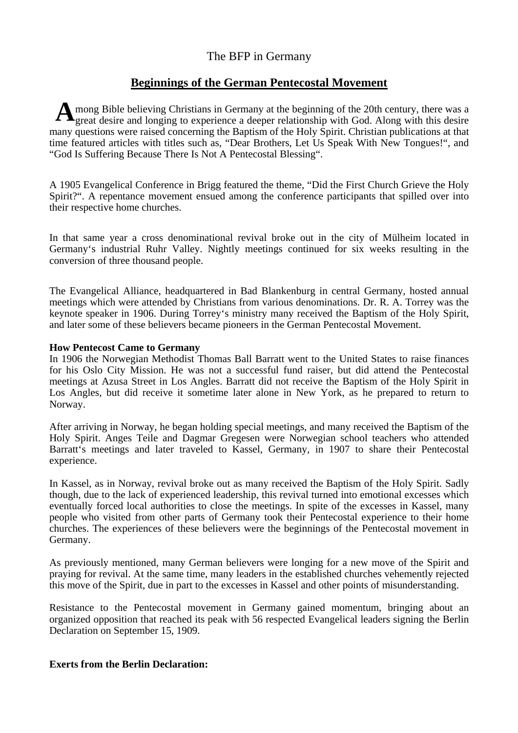# The BFP in Germany

# **Beginnings of the German Pentecostal Movement**

A mong Bible believing Christians in Germany at the beginning of the 20th century, there was a great desire and longing to experience a deeper relationship with God. Along with this desire great desire and longing to experience a deeper relationship with God. Along with this desire many questions were raised concerning the Baptism of the Holy Spirit. Christian publications at that time featured articles with titles such as, "Dear Brothers, Let Us Speak With New Tongues!", and "God Is Suffering Because There Is Not A Pentecostal Blessing".

A 1905 Evangelical Conference in Brigg featured the theme, "Did the First Church Grieve the Holy Spirit?". A repentance movement ensued among the conference participants that spilled over into their respective home churches.

In that same year a cross denominational revival broke out in the city of Mülheim located in Germany's industrial Ruhr Valley. Nightly meetings continued for six weeks resulting in the conversion of three thousand people.

The Evangelical Alliance, headquartered in Bad Blankenburg in central Germany, hosted annual meetings which were attended by Christians from various denominations. Dr. R. A. Torrey was the keynote speaker in 1906. During Torrey's ministry many received the Baptism of the Holy Spirit, and later some of these believers became pioneers in the German Pentecostal Movement.

## **How Pentecost Came to Germany**

In 1906 the Norwegian Methodist Thomas Ball Barratt went to the United States to raise finances for his Oslo City Mission. He was not a successful fund raiser, but did attend the Pentecostal meetings at Azusa Street in Los Angles. Barratt did not receive the Baptism of the Holy Spirit in Los Angles, but did receive it sometime later alone in New York, as he prepared to return to Norway.

After arriving in Norway, he began holding special meetings, and many received the Baptism of the Holy Spirit. Anges Teile and Dagmar Gregesen were Norwegian school teachers who attended Barratt's meetings and later traveled to Kassel, Germany, in 1907 to share their Pentecostal experience.

In Kassel, as in Norway, revival broke out as many received the Baptism of the Holy Spirit. Sadly though, due to the lack of experienced leadership, this revival turned into emotional excesses which eventually forced local authorities to close the meetings. In spite of the excesses in Kassel, many people who visited from other parts of Germany took their Pentecostal experience to their home churches. The experiences of these believers were the beginnings of the Pentecostal movement in Germany.

As previously mentioned, many German believers were longing for a new move of the Spirit and praying for revival. At the same time, many leaders in the established churches vehemently rejected this move of the Spirit, due in part to the excesses in Kassel and other points of misunderstanding.

Resistance to the Pentecostal movement in Germany gained momentum, bringing about an organized opposition that reached its peak with 56 respected Evangelical leaders signing the Berlin Declaration on September 15, 1909.

# **Exerts from the Berlin Declaration:**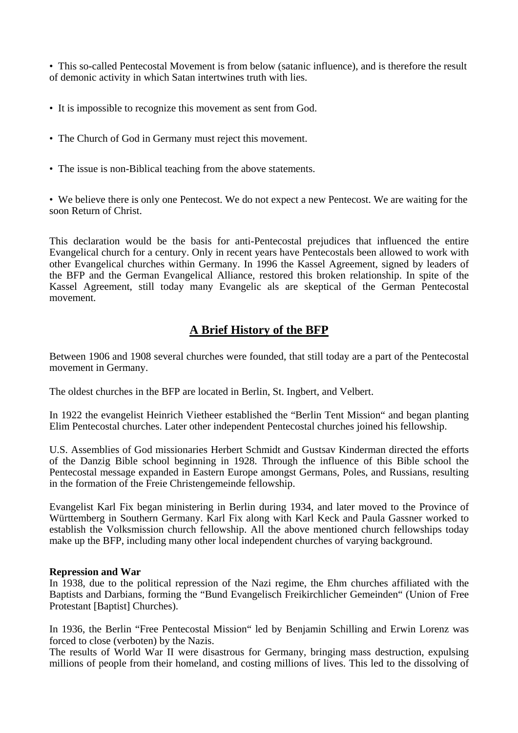• This so-called Pentecostal Movement is from below (satanic influence), and is therefore the result of demonic activity in which Satan intertwines truth with lies.

- It is impossible to recognize this movement as sent from God.
- The Church of God in Germany must reject this movement.
- The issue is non-Biblical teaching from the above statements.

• We believe there is only one Pentecost. We do not expect a new Pentecost. We are waiting for the soon Return of Christ.

This declaration would be the basis for anti-Pentecostal prejudices that influenced the entire Evangelical church for a century. Only in recent years have Pentecostals been allowed to work with other Evangelical churches within Germany. In 1996 the Kassel Agreement, signed by leaders of the BFP and the German Evangelical Alliance, restored this broken relationship. In spite of the Kassel Agreement, still today many Evangelic als are skeptical of the German Pentecostal movement.

# **A Brief History of the BFP**

Between 1906 and 1908 several churches were founded, that still today are a part of the Pentecostal movement in Germany.

The oldest churches in the BFP are located in Berlin, St. Ingbert, and Velbert.

In 1922 the evangelist Heinrich Vietheer established the "Berlin Tent Mission" and began planting Elim Pentecostal churches. Later other independent Pentecostal churches joined his fellowship.

U.S. Assemblies of God missionaries Herbert Schmidt and Gustsav Kinderman directed the efforts of the Danzig Bible school beginning in 1928. Through the influence of this Bible school the Pentecostal message expanded in Eastern Europe amongst Germans, Poles, and Russians, resulting in the formation of the Freie Christengemeinde fellowship.

Evangelist Karl Fix began ministering in Berlin during 1934, and later moved to the Province of Württemberg in Southern Germany. Karl Fix along with Karl Keck and Paula Gassner worked to establish the Volksmission church fellowship. All the above mentioned church fellowships today make up the BFP, including many other local independent churches of varying background.

#### **Repression and War**

In 1938, due to the political repression of the Nazi regime, the Ehm churches affiliated with the Baptists and Darbians, forming the "Bund Evangelisch Freikirchlicher Gemeinden" (Union of Free Protestant [Baptist] Churches).

In 1936, the Berlin "Free Pentecostal Mission" led by Benjamin Schilling and Erwin Lorenz was forced to close (verboten) by the Nazis.

The results of World War II were disastrous for Germany, bringing mass destruction, expulsing millions of people from their homeland, and costing millions of lives. This led to the dissolving of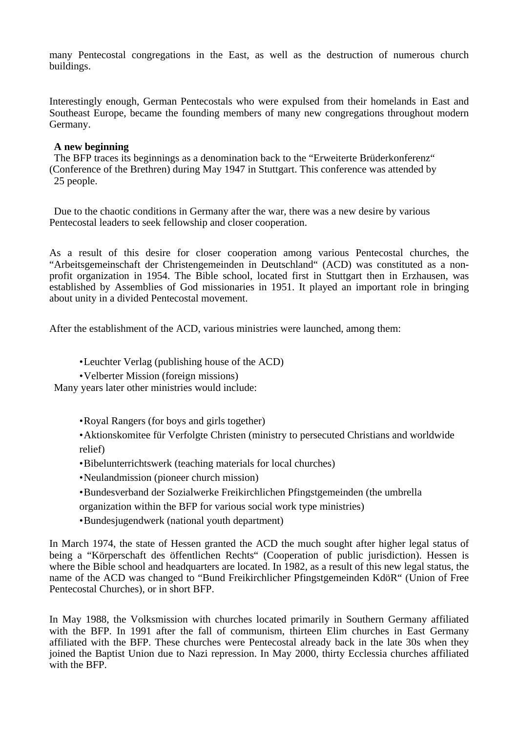many Pentecostal congregations in the East, as well as the destruction of numerous church buildings.

Interestingly enough, German Pentecostals who were expulsed from their homelands in East and Southeast Europe, became the founding members of many new congregations throughout modern Germany.

### **A new beginning**

The BFP traces its beginnings as a denomination back to the "Erweiterte Brüderkonferenz" (Conference of the Brethren) during May 1947 in Stuttgart. This conference was attended by 25 people.

Due to the chaotic conditions in Germany after the war, there was a new desire by various Pentecostal leaders to seek fellowship and closer cooperation.

As a result of this desire for closer cooperation among various Pentecostal churches, the "Arbeitsgemeinschaft der Christengemeinden in Deutschland" (ACD) was constituted as a nonprofit organization in 1954. The Bible school, located first in Stuttgart then in Erzhausen, was established by Assemblies of God missionaries in 1951. It played an important role in bringing about unity in a divided Pentecostal movement.

After the establishment of the ACD, various ministries were launched, among them:

• Leuchter Verlag (publishing house of the ACD)

• Velberter Mission (foreign missions)

Many years later other ministries would include:

• Royal Rangers (for boys and girls together)

• Aktionskomitee für Verfolgte Christen (ministry to persecuted Christians and worldwide relief)

- Bibelunterrichtswerk (teaching materials for local churches)
- Neulandmission (pioneer church mission)
- Bundesverband der Sozialwerke Freikirchlichen Pfingstgemeinden (the umbrella

organization within the BFP for various social work type ministries)

• Bundesjugendwerk (national youth department)

In March 1974, the state of Hessen granted the ACD the much sought after higher legal status of being a "Körperschaft des öffentlichen Rechts" (Cooperation of public jurisdiction). Hessen is where the Bible school and headquarters are located. In 1982, as a result of this new legal status, the name of the ACD was changed to "Bund Freikirchlicher Pfingstgemeinden KdöR" (Union of Free Pentecostal Churches), or in short BFP.

In May 1988, the Volksmission with churches located primarily in Southern Germany affiliated with the BFP. In 1991 after the fall of communism, thirteen Elim churches in East Germany affiliated with the BFP. These churches were Pentecostal already back in the late 30s when they joined the Baptist Union due to Nazi repression. In May 2000, thirty Ecclessia churches affiliated with the BFP.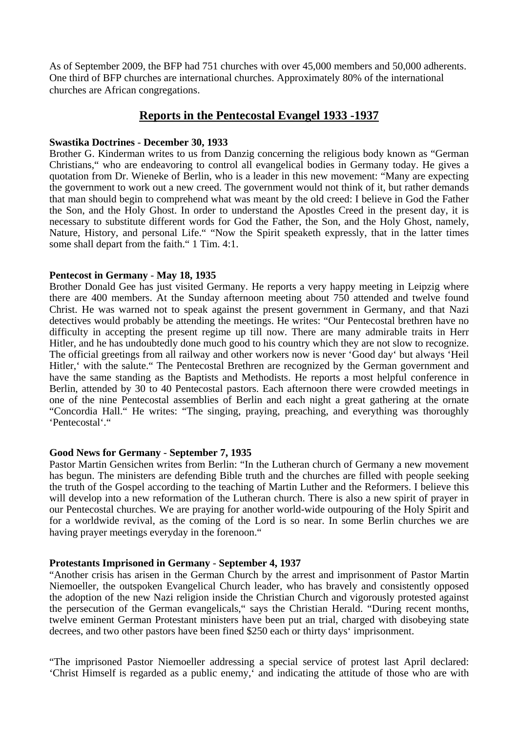As of September 2009, the BFP had 751 churches with over 45,000 members and 50,000 adherents. One third of BFP churches are international churches. Approximately 80% of the international churches are African congregations.

## **Reports in the Pentecostal Evangel 1933 -1937**

#### **Swastika Doctrines** - **December 30, 1933**

Brother G. Kinderman writes to us from Danzig concerning the religious body known as "German Christians," who are endeavoring to control all evangelical bodies in Germany today. He gives a quotation from Dr. Wieneke of Berlin, who is a leader in this new movement: "Many are expecting the government to work out a new creed. The government would not think of it, but rather demands that man should begin to comprehend what was meant by the old creed: I believe in God the Father the Son, and the Holy Ghost. In order to understand the Apostles Creed in the present day, it is necessary to substitute different words for God the Father, the Son, and the Holy Ghost, namely, Nature, History, and personal Life." "Now the Spirit speaketh expressly, that in the latter times some shall depart from the faith." 1 Tim. 4:1.

### **Pentecost in Germany** - **May 18, 1935**

Brother Donald Gee has just visited Germany. He reports a very happy meeting in Leipzig where there are 400 members. At the Sunday afternoon meeting about 750 attended and twelve found Christ. He was warned not to speak against the present government in Germany, and that Nazi detectives would probably be attending the meetings. He writes: "Our Pentecostal brethren have no difficulty in accepting the present regime up till now. There are many admirable traits in Herr Hitler, and he has undoubtedly done much good to his country which they are not slow to recognize. The official greetings from all railway and other workers now is never 'Good day' but always 'Heil Hitler, 'with the salute." The Pentecostal Brethren are recognized by the German government and have the same standing as the Baptists and Methodists. He reports a most helpful conference in Berlin, attended by 30 to 40 Pentecostal pastors. Each afternoon there were crowded meetings in one of the nine Pentecostal assemblies of Berlin and each night a great gathering at the ornate "Concordia Hall." He writes: "The singing, praying, preaching, and everything was thoroughly 'Pentecostal'."

#### **Good News for Germany** - **September 7, 1935**

Pastor Martin Gensichen writes from Berlin: "In the Lutheran church of Germany a new movement has begun. The ministers are defending Bible truth and the churches are filled with people seeking the truth of the Gospel according to the teaching of Martin Luther and the Reformers. I believe this will develop into a new reformation of the Lutheran church. There is also a new spirit of prayer in our Pentecostal churches. We are praying for another world-wide outpouring of the Holy Spirit and for a worldwide revival, as the coming of the Lord is so near. In some Berlin churches we are having prayer meetings everyday in the forenoon."

#### **Protestants Imprisoned in Germany** - **September 4, 1937**

"Another crisis has arisen in the German Church by the arrest and imprisonment of Pastor Martin Niemoeller, the outspoken Evangelical Church leader, who has bravely and consistently opposed the adoption of the new Nazi religion inside the Christian Church and vigorously protested against the persecution of the German evangelicals," says the Christian Herald. "During recent months, twelve eminent German Protestant ministers have been put an trial, charged with disobeying state decrees, and two other pastors have been fined \$250 each or thirty days' imprisonment.

"The imprisoned Pastor Niemoeller addressing a special service of protest last April declared: 'Christ Himself is regarded as a public enemy,' and indicating the attitude of those who are with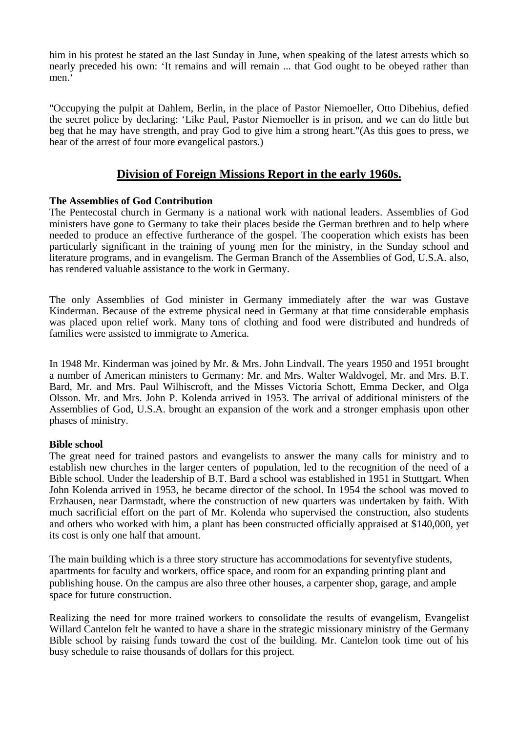him in his protest he stated an the last Sunday in June, when speaking of the latest arrests which so nearly preceded his own: 'It remains and will remain ... that God ought to be obeyed rather than men.<sup>4</sup>

"Occupying the pulpit at Dahlem, Berlin, in the place of Pastor Niemoeller, Otto Dibehius, defied the secret police by declaring: 'Like Paul, Pastor Niemoeller is in prison, and we can do little but beg that he may have strength, and pray God to give him a strong heart."(As this goes to press, we hear of the arrest of four more evangelical pastors.)

# **Division of Foreign Missions Report in the early 1960s.**

## **The Assemblies of God Contribution**

The Pentecostal church in Germany is a national work with national leaders. Assemblies of God ministers have gone to Germany to take their places beside the German brethren and to help where needed to produce an effective furtherance of the gospel. The cooperation which exists has been particularly significant in the training of young men for the ministry, in the Sunday school and literature programs, and in evangelism. The German Branch of the Assemblies of God, U.S.A. also, has rendered valuable assistance to the work in Germany.

The only Assemblies of God minister in Germany immediately after the war was Gustave Kinderman. Because of the extreme physical need in Germany at that time considerable emphasis was placed upon relief work. Many tons of clothing and food were distributed and hundreds of families were assisted to immigrate to America.

In 1948 Mr. Kinderman was joined by Mr. & Mrs. John Lindvall. The years 1950 and 1951 brought a number of American ministers to Germany: Mr. and Mrs. Walter Waldvogel, Mr. and Mrs. B.T. Bard, Mr. and Mrs. Paul Wilhiscroft, and the Misses Victoria Schott, Emma Decker, and Olga Olsson. Mr. and Mrs. John P. Kolenda arrived in 1953. The arrival of additional ministers of the Assemblies of God, U.S.A. brought an expansion of the work and a stronger emphasis upon other phases of ministry.

## **Bible school**

The great need for trained pastors and evangelists to answer the many calls for ministry and to establish new churches in the larger centers of population, led to the recognition of the need of a Bible school. Under the leadership of B.T. Bard a school was established in 1951 in Stuttgart. When John Kolenda arrived in 1953, he became director of the school. In 1954 the school was moved to Erzhausen, near Darmstadt, where the construction of new quarters was undertaken by faith. With much sacrificial effort on the part of Mr. Kolenda who supervised the construction, also students and others who worked with him, a plant has been constructed officially appraised at \$140,000, yet its cost is only one half that amount.

The main building which is a three story structure has accommodations for seventyfive students, apartments for faculty and workers, office space, and room for an expanding printing plant and publishing house. On the campus are also three other houses, a carpenter shop, garage, and ample space for future construction.

Realizing the need for more trained workers to consolidate the results of evangelism, Evangelist Willard Cantelon felt he wanted to have a share in the strategic missionary ministry of the Germany Bible school by raising funds toward the cost of the building. Mr. Cantelon took time out of his busy schedule to raise thousands of dollars for this project.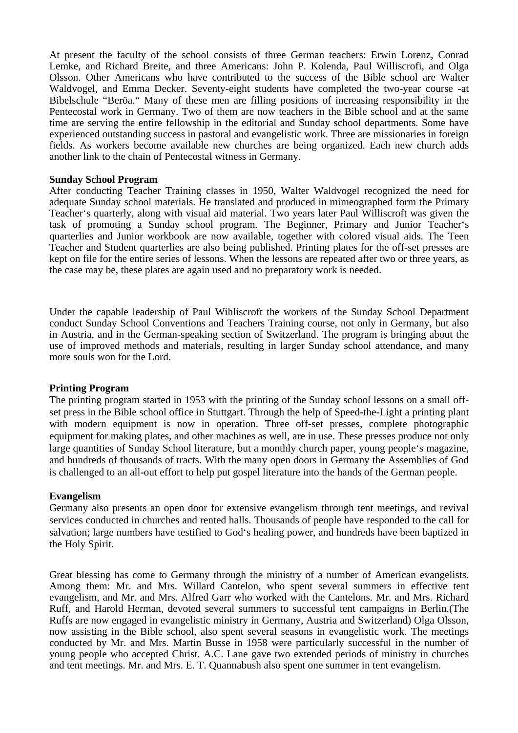At present the faculty of the school consists of three German teachers: Erwin Lorenz, Conrad Lemke, and Richard Breite, and three Americans: John P. Kolenda, Paul Williscrofi, and Olga Olsson. Other Americans who have contributed to the success of the Bible school are Walter Waldvogel, and Emma Decker. Seventy-eight students have completed the two-year course -at Bibelschule "Beröa." Many of these men are filling positions of increasing responsibility in the Pentecostal work in Germany. Two of them are now teachers in the Bible school and at the same time are serving the entire fellowship in the editorial and Sunday school departments. Some have experienced outstanding success in pastoral and evangelistic work. Three are missionaries in foreign fields. As workers become available new churches are being organized. Each new church adds another link to the chain of Pentecostal witness in Germany.

#### **Sunday School Program**

After conducting Teacher Training classes in 1950, Walter Waldvogel recognized the need for adequate Sunday school materials. He translated and produced in mimeographed form the Primary Teacher's quarterly, along with visual aid material. Two years later Paul Williscroft was given the task of promoting a Sunday school program. The Beginner, Primary and Junior Teacher's quarterlies and Junior workbook are now available, together with colored visual aids. The Teen Teacher and Student quarterlies are also being published. Printing plates for the off-set presses are kept on file for the entire series of lessons. When the lessons are repeated after two or three years, as the case may be, these plates are again used and no preparatory work is needed.

Under the capable leadership of Paul Wihliscroft the workers of the Sunday School Department conduct Sunday School Conventions and Teachers Training course, not only in Germany, but also in Austria, and in the German-speaking section of Switzerland. The program is bringing about the use of improved methods and materials, resulting in larger Sunday school attendance, and many more souls won for the Lord.

### **Printing Program**

The printing program started in 1953 with the printing of the Sunday school lessons on a small offset press in the Bible school office in Stuttgart. Through the help of Speed-the-Light a printing plant with modern equipment is now in operation. Three off-set presses, complete photographic equipment for making plates, and other machines as well, are in use. These presses produce not only large quantities of Sunday School literature, but a monthly church paper, young people's magazine, and hundreds of thousands of tracts. With the many open doors in Germany the Assemblies of God is challenged to an all-out effort to help put gospel literature into the hands of the German people.

#### **Evangelism**

Germany also presents an open door for extensive evangelism through tent meetings, and revival services conducted in churches and rented halls. Thousands of people have responded to the call for salvation; large numbers have testified to God's healing power, and hundreds have been baptized in the Holy Spirit.

Great blessing has come to Germany through the ministry of a number of American evangelists. Among them: Mr. and Mrs. Willard Cantelon, who spent several summers in effective tent evangelism, and Mr. and Mrs. Alfred Garr who worked with the Cantelons. Mr. and Mrs. Richard Ruff, and Harold Herman, devoted several summers to successful tent campaigns in Berlin.(The Ruffs are now engaged in evangelistic ministry in Germany, Austria and Switzerland) Olga Olsson, now assisting in the Bible school, also spent several seasons in evangelistic work. The meetings conducted by Mr. and Mrs. Martin Busse in 1958 were particularly successful in the number of young people who accepted Christ. A.C. Lane gave two extended periods of ministry in churches and tent meetings. Mr. and Mrs. E. T. Quannabush also spent one summer in tent evangelism.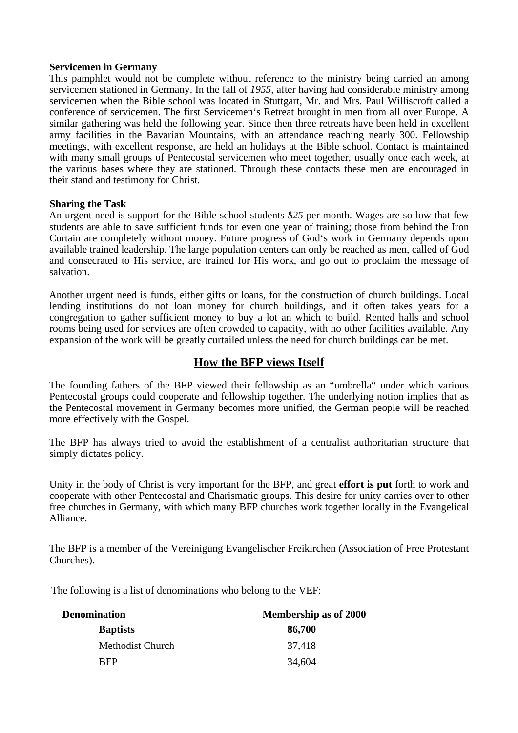### **Servicemen in Germany**

This pamphlet would not be complete without reference to the ministry being carried an among servicemen stationed in Germany. In the fall of *1955,* after having had considerable ministry among servicemen when the Bible school was located in Stuttgart, Mr. and Mrs. Paul Williscroft called a conference of servicemen. The first Servicemen's Retreat brought in men from all over Europe. A similar gathering was held the following year. Since then three retreats have been held in excellent army facilities in the Bavarian Mountains, with an attendance reaching nearly 300. Fellowship meetings, with excellent response, are held an holidays at the Bible school. Contact is maintained with many small groups of Pentecostal servicemen who meet together, usually once each week, at the various bases where they are stationed. Through these contacts these men are encouraged in their stand and testimony for Christ.

### **Sharing the Task**

An urgent need is support for the Bible school students *\$25* per month. Wages are so low that few students are able to save sufficient funds for even one year of training; those from behind the Iron Curtain are completely without money. Future progress of God's work in Germany depends upon available trained leadership. The large population centers can only be reached as men, called of God and consecrated to His service, are trained for His work, and go out to proclaim the message of salvation.

Another urgent need is funds, either gifts or loans, for the construction of church buildings. Local lending institutions do not loan money for church buildings, and it often takes years for a congregation to gather sufficient money to buy a lot an which to build. Rented halls and school rooms being used for services are often crowded to capacity, with no other facilities available. Any expansion of the work will be greatly curtailed unless the need for church buildings can be met.

# **How the BFP views Itself**

The founding fathers of the BFP viewed their fellowship as an "umbrella" under which various Pentecostal groups could cooperate and fellowship together. The underlying notion implies that as the Pentecostal movement in Germany becomes more unified, the German people will be reached more effectively with the Gospel.

The BFP has always tried to avoid the establishment of a centralist authoritarian structure that simply dictates policy.

Unity in the body of Christ is very important for the BFP, and great **effort is put** forth to work and cooperate with other Pentecostal and Charismatic groups. This desire for unity carries over to other free churches in Germany, with which many BFP churches work together locally in the Evangelical Alliance.

The BFP is a member of the Vereinigung Evangelischer Freikirchen (Association of Free Protestant Churches).

The following is a list of denominations who belong to the VEF:

| <b>Denomination</b> | <b>Membership as of 2000</b> |  |
|---------------------|------------------------------|--|
| <b>Baptists</b>     | 86,700                       |  |
| Methodist Church    | 37,418                       |  |
| <b>RFP</b>          | 34,604                       |  |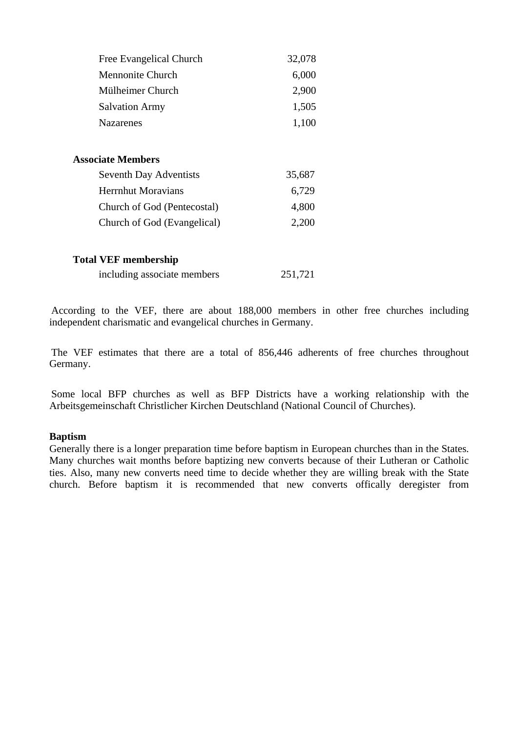| Free Evangelical Church       | 32,078 |
|-------------------------------|--------|
| Mennonite Church              | 6,000  |
| Mülheimer Church              | 2,900  |
| <b>Salvation Army</b>         | 1,505  |
| <b>Nazarenes</b>              | 1,100  |
| <b>Associate Members</b>      |        |
| <b>Seventh Day Adventists</b> | 35,687 |
| <b>Herrnhut Moravians</b>     | 6,729  |
| Church of God (Pentecostal)   | 4,800  |
| Church of God (Evangelical)   | 2,200  |
| <b>Total VEF membership</b>   |        |

| including associate members | 251,721 |
|-----------------------------|---------|
|-----------------------------|---------|

According to the VEF, there are about 188,000 members in other free churches including independent charismatic and evangelical churches in Germany.

The VEF estimates that there are a total of 856,446 adherents of free churches throughout Germany.

Some local BFP churches as well as BFP Districts have a working relationship with the Arbeitsgemeinschaft Christlicher Kirchen Deutschland (National Council of Churches).

## **Baptism**

Generally there is a longer preparation time before baptism in European churches than in the States. Many churches wait months before baptizing new converts because of their Lutheran or Catholic ties. Also, many new converts need time to decide whether they are willing break with the State church. Before baptism it is recommended that new converts offically deregister from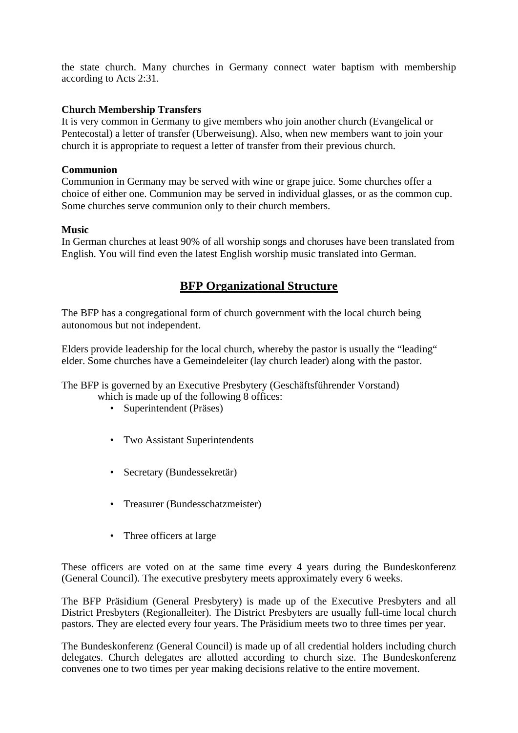the state church. Many churches in Germany connect water baptism with membership according to Acts 2:31.

# **Church Membership Transfers**

It is very common in Germany to give members who join another church (Evangelical or Pentecostal) a letter of transfer (Uberweisung). Also, when new members want to join your church it is appropriate to request a letter of transfer from their previous church.

## **Communion**

Communion in Germany may be served with wine or grape juice. Some churches offer a choice of either one. Communion may be served in individual glasses, or as the common cup. Some churches serve communion only to their church members.

## **Music**

In German churches at least 90% of all worship songs and choruses have been translated from English. You will find even the latest English worship music translated into German.

# **BFP Organizational Structure**

The BFP has a congregational form of church government with the local church being autonomous but not independent.

Elders provide leadership for the local church, whereby the pastor is usually the "leading" elder. Some churches have a Gemeindeleiter (lay church leader) along with the pastor.

The BFP is governed by an Executive Presbytery (Geschäftsführender Vorstand)

which is made up of the following 8 offices:

- Superintendent (Präses)
- Two Assistant Superintendents
- Secretary (Bundessekretär)
- Treasurer (Bundesschatzmeister)
- Three officers at large

These officers are voted on at the same time every 4 years during the Bundeskonferenz (General Council). The executive presbytery meets approximately every 6 weeks.

The BFP Präsidium (General Presbytery) is made up of the Executive Presbyters and all District Presbyters (Regionalleiter). The District Presbyters are usually full-time local church pastors. They are elected every four years. The Präsidium meets two to three times per year.

The Bundeskonferenz (General Council) is made up of all credential holders including church delegates. Church delegates are allotted according to church size. The Bundeskonferenz convenes one to two times per year making decisions relative to the entire movement.